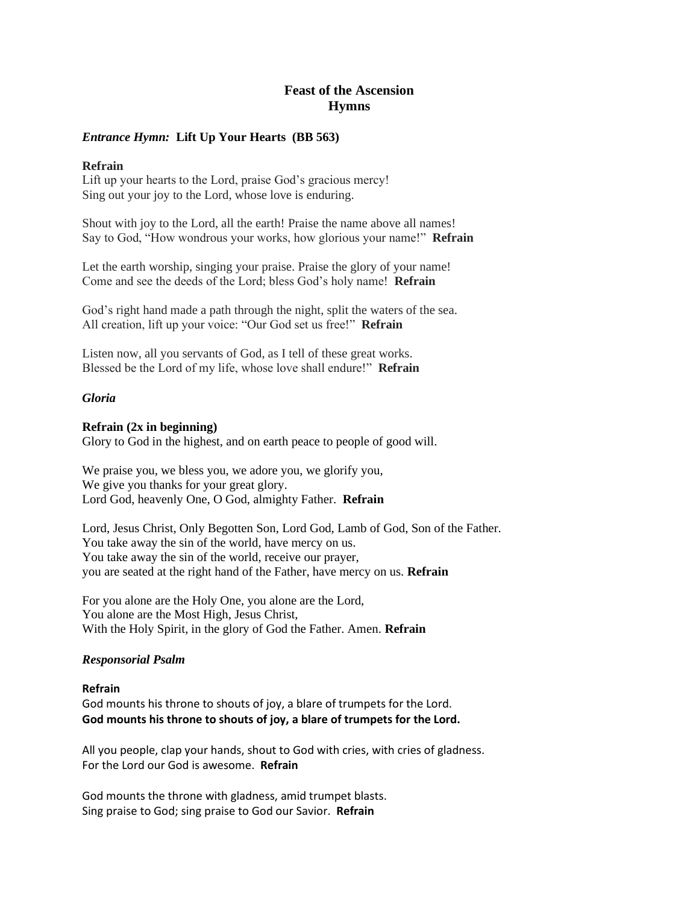# **Feast of the Ascension Hymns**

## *Entrance Hymn:* **Lift Up Your Hearts (BB 563)**

## **Refrain**

Lift up your hearts to the Lord, praise God's gracious mercy! Sing out your joy to the Lord, whose love is enduring.

Shout with joy to the Lord, all the earth! Praise the name above all names! Say to God, "How wondrous your works, how glorious your name!" **Refrain**

Let the earth worship, singing your praise. Praise the glory of your name! Come and see the deeds of the Lord; bless God's holy name! **Refrain**

God's right hand made a path through the night, split the waters of the sea. All creation, lift up your voice: "Our God set us free!" **Refrain**

Listen now, all you servants of God, as I tell of these great works. Blessed be the Lord of my life, whose love shall endure!" **Refrain**

## *Gloria*

## **Refrain (2x in beginning)**

Glory to God in the highest, and on earth peace to people of good will.

We praise you, we bless you, we adore you, we glorify you, We give you thanks for your great glory. Lord God, heavenly One, O God, almighty Father. **Refrain**

Lord, Jesus Christ, Only Begotten Son, Lord God, Lamb of God, Son of the Father. You take away the sin of the world, have mercy on us. You take away the sin of the world, receive our prayer, you are seated at the right hand of the Father, have mercy on us. **Refrain**

For you alone are the Holy One, you alone are the Lord, You alone are the Most High, Jesus Christ, With the Holy Spirit, in the glory of God the Father. Amen. **Refrain**

## *Responsorial Psalm*

## **Refrain**

God mounts his throne to shouts of joy, a blare of trumpets for the Lord. **God mounts his throne to shouts of joy, a blare of trumpets for the Lord.**

All you people, clap your hands, shout to God with cries, with cries of gladness. For the Lord our God is awesome. **Refrain**

God mounts the throne with gladness, amid trumpet blasts. Sing praise to God; sing praise to God our Savior. **Refrain**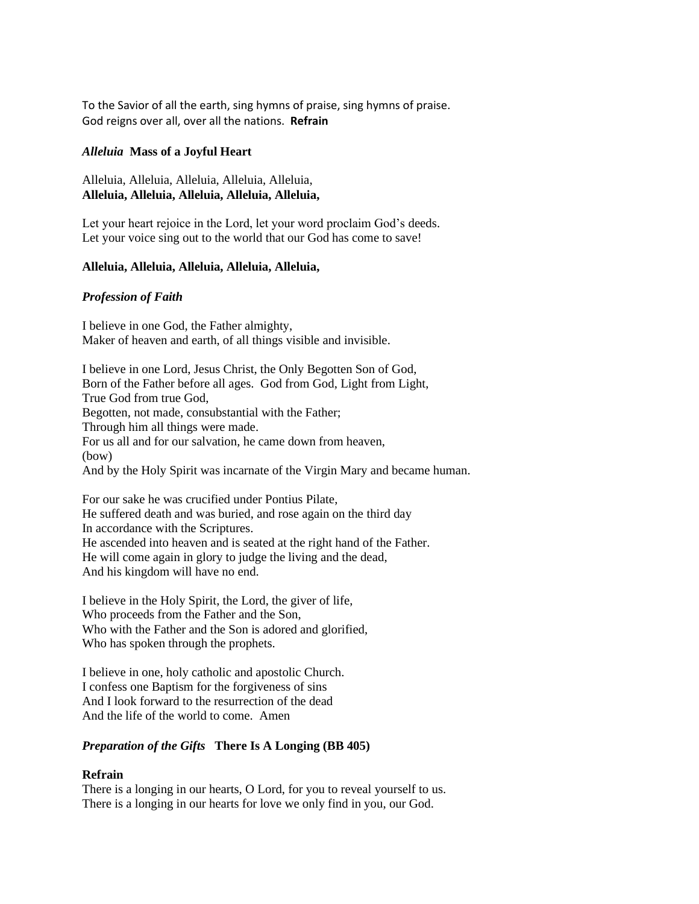To the Savior of all the earth, sing hymns of praise, sing hymns of praise. God reigns over all, over all the nations. **Refrain**

## *Alleluia* **Mass of a Joyful Heart**

Alleluia, Alleluia, Alleluia, Alleluia, Alleluia, **Alleluia, Alleluia, Alleluia, Alleluia, Alleluia,**

Let your heart rejoice in the Lord, let your word proclaim God's deeds. Let your voice sing out to the world that our God has come to save!

## **Alleluia, Alleluia, Alleluia, Alleluia, Alleluia,**

## *Profession of Faith*

I believe in one God, the Father almighty, Maker of heaven and earth, of all things visible and invisible.

I believe in one Lord, Jesus Christ, the Only Begotten Son of God, Born of the Father before all ages. God from God, Light from Light, True God from true God, Begotten, not made, consubstantial with the Father; Through him all things were made. For us all and for our salvation, he came down from heaven, (bow) And by the Holy Spirit was incarnate of the Virgin Mary and became human. For our sake he was crucified under Pontius Pilate,

He suffered death and was buried, and rose again on the third day In accordance with the Scriptures. He ascended into heaven and is seated at the right hand of the Father. He will come again in glory to judge the living and the dead, And his kingdom will have no end.

I believe in the Holy Spirit, the Lord, the giver of life, Who proceeds from the Father and the Son, Who with the Father and the Son is adored and glorified. Who has spoken through the prophets.

I believe in one, holy catholic and apostolic Church. I confess one Baptism for the forgiveness of sins And I look forward to the resurrection of the dead And the life of the world to come. Amen

#### *Preparation of the Gifts* **There Is A Longing (BB 405)**

#### **Refrain**

There is a longing in our hearts, O Lord, for you to reveal yourself to us. There is a longing in our hearts for love we only find in you, our God.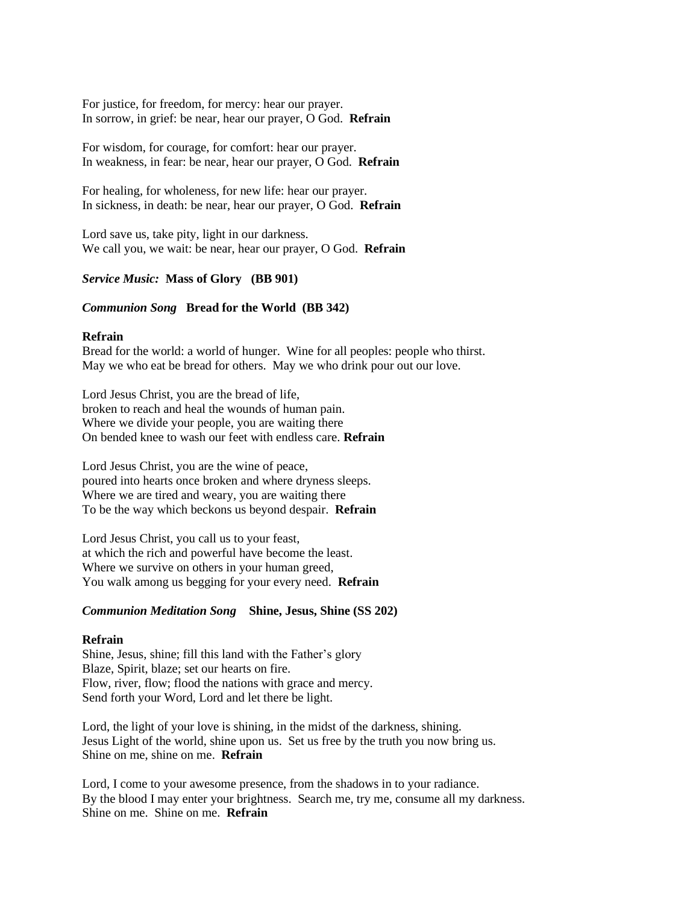For justice, for freedom, for mercy: hear our prayer. In sorrow, in grief: be near, hear our prayer, O God. **Refrain**

For wisdom, for courage, for comfort: hear our prayer. In weakness, in fear: be near, hear our prayer, O God. **Refrain**

For healing, for wholeness, for new life: hear our prayer. In sickness, in death: be near, hear our prayer, O God. **Refrain**

Lord save us, take pity, light in our darkness. We call you, we wait: be near, hear our prayer, O God. **Refrain**

## *Service Music:* **Mass of Glory (BB 901)**

## *Communion Song* **Bread for the World (BB 342)**

## **Refrain**

Bread for the world: a world of hunger. Wine for all peoples: people who thirst. May we who eat be bread for others. May we who drink pour out our love.

Lord Jesus Christ, you are the bread of life, broken to reach and heal the wounds of human pain. Where we divide your people, you are waiting there On bended knee to wash our feet with endless care. **Refrain**

Lord Jesus Christ, you are the wine of peace, poured into hearts once broken and where dryness sleeps. Where we are tired and weary, you are waiting there To be the way which beckons us beyond despair. **Refrain**

Lord Jesus Christ, you call us to your feast, at which the rich and powerful have become the least. Where we survive on others in your human greed, You walk among us begging for your every need. **Refrain**

#### *Communion Meditation Song* **Shine, Jesus, Shine (SS 202)**

## **Refrain**

Shine, Jesus, shine; fill this land with the Father's glory Blaze, Spirit, blaze; set our hearts on fire. Flow, river, flow; flood the nations with grace and mercy. Send forth your Word, Lord and let there be light.

Lord, the light of your love is shining, in the midst of the darkness, shining. Jesus Light of the world, shine upon us. Set us free by the truth you now bring us. Shine on me, shine on me. **Refrain**

Lord, I come to your awesome presence, from the shadows in to your radiance. By the blood I may enter your brightness. Search me, try me, consume all my darkness. Shine on me. Shine on me. **Refrain**